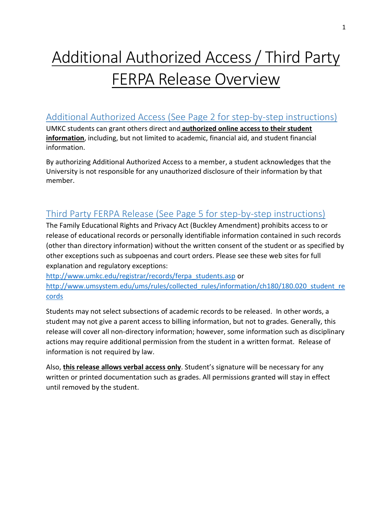# Additional Authorized Access / Third Party FERPA Release Overview

### Additional Authorized Access (See Page 2 for step-by-step instructions)

UMKC students can grant others direct and **authorized online access to their student information**, including, but not limited to academic, financial aid, and student financial information.

By authorizing Additional Authorized Access to a member, a student acknowledges that the University is not responsible for any unauthorized disclosure of their information by that member.

### Third Party FERPA Release (See Page 5 for step-by-step instructions)

The Family Educational Rights and Privacy Act (Buckley Amendment) prohibits access to or release of educational records or personally identifiable information contained in such records (other than directory information) without the written consent of the student or as specified by other exceptions such as subpoenas and court orders. Please see these web sites for full explanation and regulatory exceptions:

[http://www.umkc.edu/registrar/records/ferpa\\_students.asp](http://www.umkc.edu/registrar/records/ferpa_students.asp) or [http://www.umsystem.edu/ums/rules/collected\\_rules/information/ch180/180.020\\_student\\_re](http://www.umsystem.edu/ums/rules/collected_rules/information/ch180/180.020_student_records) [cords](http://www.umsystem.edu/ums/rules/collected_rules/information/ch180/180.020_student_records)

Students may not select subsections of academic records to be released. In other words, a student may not give a parent access to billing information, but not to grades. Generally, this release will cover all non-directory information; however, some information such as disciplinary actions may require additional permission from the student in a written format. Release of information is not required by law.

Also, **this release allows verbal access only**. Student's signature will be necessary for any written or printed documentation such as grades. All permissions granted will stay in effect until removed by the student.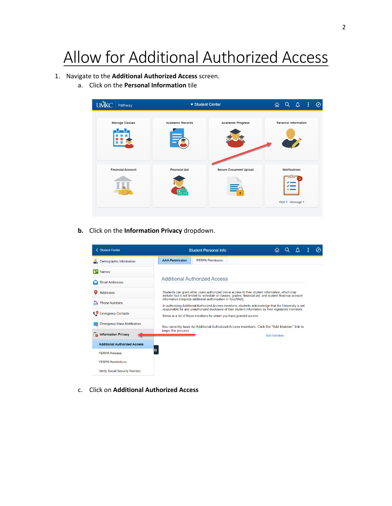## Allow for Additional Authorized Access

#### 1. Navigate to the **Additional Authorized Access** screen.

a. Click on the **Personal Information** tile



**b.** Click on the **Information Privacy** dropdown.



c. Click on **Additional Authorized Access**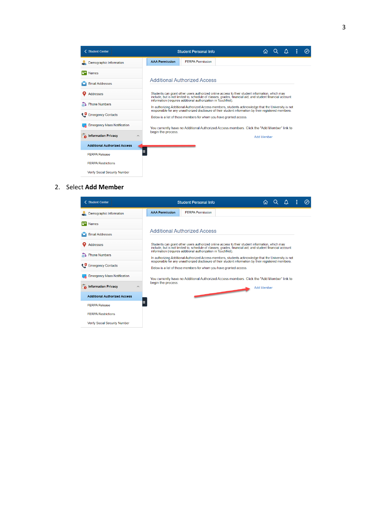| <b>く Student Center</b>                      |                       | <b>Student Personal Info</b>                                                                                                                                                                                                                                                  |                                                                                            |                   |  |  |  | ⊘ |
|----------------------------------------------|-----------------------|-------------------------------------------------------------------------------------------------------------------------------------------------------------------------------------------------------------------------------------------------------------------------------|--------------------------------------------------------------------------------------------|-------------------|--|--|--|---|
| Demographic Information                      | <b>AAA Permission</b> | <b>FERPA Permission</b>                                                                                                                                                                                                                                                       |                                                                                            |                   |  |  |  |   |
| <b>Names</b>                                 |                       |                                                                                                                                                                                                                                                                               |                                                                                            |                   |  |  |  |   |
| <b>Email Addresses</b>                       |                       | <b>Additional Authorized Access</b>                                                                                                                                                                                                                                           |                                                                                            |                   |  |  |  |   |
| <b>Addresses</b>                             |                       | Students can grant other users authorized online access to their student information, which may<br>include, but is not limited to, schedule of classes, grades, financial aid, and student financial account                                                                  |                                                                                            |                   |  |  |  |   |
| <b>Phone Numbers</b>                         |                       | information (requires additional authorization in TouchNet).<br>In authorizing Additional Authorized Access members, students acknowledge that the University is not<br>responsible for any unauthorized disclosure of their student information by their registered members. |                                                                                            |                   |  |  |  |   |
| ŧ۵<br><b>Emergency Contacts</b>              |                       | Below is a list of those members for whom you have granted access.                                                                                                                                                                                                            |                                                                                            |                   |  |  |  |   |
| <b>Emergency Mass Notification</b>           |                       |                                                                                                                                                                                                                                                                               | You currently have no Additional Authorized Access members. Click the "Add Member" link to |                   |  |  |  |   |
| <b>Information Privacy</b><br>F.<br>$\wedge$ | begin the process.    |                                                                                                                                                                                                                                                                               |                                                                                            | <b>Add Member</b> |  |  |  |   |
| <b>Additional Authorized Access</b>          |                       |                                                                                                                                                                                                                                                                               |                                                                                            |                   |  |  |  |   |
| <b>FERPA Release</b>                         |                       |                                                                                                                                                                                                                                                                               |                                                                                            |                   |  |  |  |   |
| <b>FERPA Restrictions</b>                    |                       |                                                                                                                                                                                                                                                                               |                                                                                            |                   |  |  |  |   |
| <b>Verify Social Security Number</b>         |                       |                                                                                                                                                                                                                                                                               |                                                                                            |                   |  |  |  |   |

#### 2. Select **Add Member**

|     | < Student Center                          |                       | <b>Student Personal Info</b>                                                                                                                                                                                                                                                  | 屳                 | Λ | ÷ | Ø |
|-----|-------------------------------------------|-----------------------|-------------------------------------------------------------------------------------------------------------------------------------------------------------------------------------------------------------------------------------------------------------------------------|-------------------|---|---|---|
|     | Demographic Information                   | <b>AAA Permission</b> | <b>FFRPA Permission</b>                                                                                                                                                                                                                                                       |                   |   |   |   |
| la= | <b>Names</b>                              |                       |                                                                                                                                                                                                                                                                               |                   |   |   |   |
|     | <b>Email Addresses</b>                    |                       | <b>Additional Authorized Access</b>                                                                                                                                                                                                                                           |                   |   |   |   |
|     | <b>Addresses</b>                          |                       | Students can grant other users authorized online access to their student information, which may<br>include, but is not limited to, schedule of classes, grades, financial aid, and student financial account                                                                  |                   |   |   |   |
|     | none Numbers                              |                       | information (requires additional authorization in TouchNet).<br>In authorizing Additional Authorized Access members, students acknowledge that the University is not<br>responsible for any unauthorized disclosure of their student information by their registered members. |                   |   |   |   |
|     | Emergency Contacts                        |                       | Below is a list of those members for whom you have granted access.                                                                                                                                                                                                            |                   |   |   |   |
|     | <b>Emergency Mass Notification</b>        |                       | You currently have no Additional Authorized Access members. Click the "Add Member" link to                                                                                                                                                                                    |                   |   |   |   |
|     | <b>To</b> Information Privacy<br>$\wedge$ | begin the process.    |                                                                                                                                                                                                                                                                               | <b>Add Member</b> |   |   |   |
|     | <b>Additional Authorized Access</b>       |                       |                                                                                                                                                                                                                                                                               |                   |   |   |   |
|     | <b>FERPA Release</b>                      | Ш                     |                                                                                                                                                                                                                                                                               |                   |   |   |   |
|     | <b>FFRPA Restrictions</b>                 |                       |                                                                                                                                                                                                                                                                               |                   |   |   |   |
|     | <b>Verify Social Security Number</b>      |                       |                                                                                                                                                                                                                                                                               |                   |   |   |   |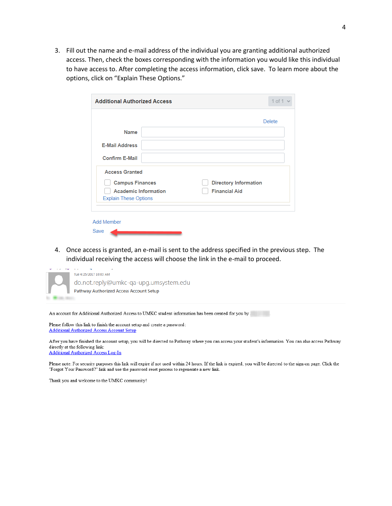3. Fill out the name and e-mail address of the individual you are granting additional authorized access. Then, check the boxes corresponding with the information you would like this individual to have access to. After completing the access information, click save. To learn more about the options, click on "Explain These Options."

| <b>Additional Authorized Access</b> | $1$ of $1$                   |
|-------------------------------------|------------------------------|
|                                     | <b>Delete</b>                |
| <b>Name</b>                         |                              |
| <b>E-Mail Address</b>               |                              |
| <b>Confirm E-Mail</b>               |                              |
| <b>Access Granted</b>               |                              |
| <b>Campus Finances</b>              | <b>Directory Information</b> |
| <b>Academic Information</b>         | <b>Financial Aid</b>         |
| <b>Explain These Options</b>        |                              |
|                                     |                              |
| Add Member                          |                              |
| Save                                |                              |

4. Once access is granted, an e-mail is sent to the address specified in the previous step. The individual receiving the access will choose the link in the e-mail to proceed.



An account for Additional Authorized Access to UMKC student information has been created for you by .

Please follow this link to finish the account setup and create a password: **Additional Authorized Access Account Setup** 

After you have finished the account setup, you will be directed to Pathway where you can access your student's information. You can also access Pathway directly at the following link: **Additional Authorized Access Log-In** 

Please note: For security purposes this link will expire if not used within 24 hours. If the link is expired, you will be directed to the sign-on page. Click the "Forgot Your Password?" link and use the password reset process to regenerate a new link.

Thank you and welcome to the UMKC community!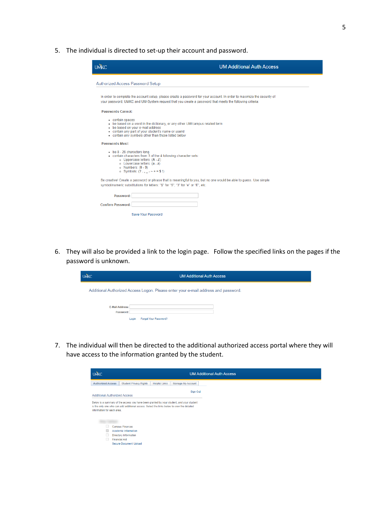5. The individual is directed to set-up their account and password.

| <b>UMKC</b>                                                                                                                                                                                                                     | <b>UM Additional Auth Access</b>                                                                                                                                                                                                   |
|---------------------------------------------------------------------------------------------------------------------------------------------------------------------------------------------------------------------------------|------------------------------------------------------------------------------------------------------------------------------------------------------------------------------------------------------------------------------------|
| <b>Authorized Access Password Setup</b>                                                                                                                                                                                         |                                                                                                                                                                                                                                    |
|                                                                                                                                                                                                                                 | In order to complete the account setup, please create a password for your account. In order to maximize the security of<br>your password, UMKC and UM-System request that you create a password that meets the following criteria: |
| Passwords Cannot:                                                                                                                                                                                                               |                                                                                                                                                                                                                                    |
| • contain spaces<br>- be based on your e-mail address<br>- contain any part of your student's name or userid<br>- contain any symbols other than those listed below                                                             | . be based on a word in the dictionary, or any other UM/campus related term                                                                                                                                                        |
| <b>Passwords Must:</b>                                                                                                                                                                                                          |                                                                                                                                                                                                                                    |
| be 8 - 26 characters long.<br>. contain characters from 3 of the 4 following character sets:<br>o Uppercase letters: (A - Z)<br>o Lowercase letters: (a - z)<br>$o$ Numbers: $(0 - 9)$<br>• Symbols: $(?\, . \_ - \sim += \$!)$ |                                                                                                                                                                                                                                    |
| symbol/numeric substitutions for letters: "\$" for "S", "3" for "e" or "E", etc.                                                                                                                                                | Be creative! Create a password or phrase that is meaningful to you, but no one would be able to guess. Use simple                                                                                                                  |
| Password:                                                                                                                                                                                                                       |                                                                                                                                                                                                                                    |
| <b>Confirm Password:</b>                                                                                                                                                                                                        |                                                                                                                                                                                                                                    |
| <b>Save Your Password</b>                                                                                                                                                                                                       |                                                                                                                                                                                                                                    |

6. They will also be provided a link to the login page. Follow the specified links on the pages if the password is unknown.

| <b>UMKC</b>                         | <b>UM Additional Auth Access</b>                                                   |
|-------------------------------------|------------------------------------------------------------------------------------|
|                                     | Additional Authorized Access Logon. Please enter your e-mail address and password. |
|                                     |                                                                                    |
| <b>E-Mail Address:</b><br>Password: |                                                                                    |
|                                     | Forgot Your Password?<br>Login                                                     |

7. The individual will then be directed to the additional authorized access portal where they will have access to the information granted by the student.

| <b>UMKC</b>                | <b>UM Additional Auth Access</b>                                                                                                                                                       |  |  |
|----------------------------|----------------------------------------------------------------------------------------------------------------------------------------------------------------------------------------|--|--|
| <b>Authorized Access</b>   | <b>Student Privacy Rights</b><br><b>Helpful Links</b><br>Manage My Account                                                                                                             |  |  |
|                            | Sign Out<br><b>Additional Authorized Access</b>                                                                                                                                        |  |  |
|                            | Below is a summary of the access you have been granted by your student, and your student<br>is the only one who can add additional access. Select the links below to view the detailed |  |  |
| information for each area. |                                                                                                                                                                                        |  |  |
|                            |                                                                                                                                                                                        |  |  |
|                            |                                                                                                                                                                                        |  |  |
|                            | <b>Campus Finances</b>                                                                                                                                                                 |  |  |
|                            | <b>Academic Information</b>                                                                                                                                                            |  |  |
|                            | <b>Directory Information</b><br><b>Financial Aid</b>                                                                                                                                   |  |  |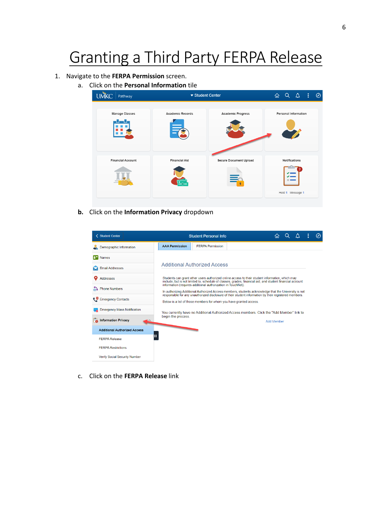## Granting a Third Party FERPA Release

#### 1. Navigate to the **FERPA Permission** screen.

a. Click on the **Personal Information** tile



**b.** Click on the **Information Privacy** dropdown

| < Student Center                    |                                                                                                                                                                                                                                                                                                                                                                                                                                                   | <b>Student Personal Info</b>                                                                                                                                                                                 |  | ናብ                |  |  |  | ⊘ |
|-------------------------------------|---------------------------------------------------------------------------------------------------------------------------------------------------------------------------------------------------------------------------------------------------------------------------------------------------------------------------------------------------------------------------------------------------------------------------------------------------|--------------------------------------------------------------------------------------------------------------------------------------------------------------------------------------------------------------|--|-------------------|--|--|--|---|
| Demographic Information             | <b>AAA Permission</b>                                                                                                                                                                                                                                                                                                                                                                                                                             | <b>FFRPA Permission</b>                                                                                                                                                                                      |  |                   |  |  |  |   |
| <b>Names</b>                        |                                                                                                                                                                                                                                                                                                                                                                                                                                                   |                                                                                                                                                                                                              |  |                   |  |  |  |   |
| <b>Email Addresses</b>              |                                                                                                                                                                                                                                                                                                                                                                                                                                                   | <b>Additional Authorized Access</b>                                                                                                                                                                          |  |                   |  |  |  |   |
| <b>Addresses</b>                    |                                                                                                                                                                                                                                                                                                                                                                                                                                                   | Students can grant other users authorized online access to their student information, which may<br>include, but is not limited to, schedule of classes, grades, financial aid, and student financial account |  |                   |  |  |  |   |
| <b>Phone Numbers</b><br>ക           | information (requires additional authorization in TouchNet).<br>In authorizing Additional Authorized Access members, students acknowledge that the University is not<br>responsible for any unauthorized disclosure of their student information by their registered members.<br>Below is a list of those members for whom you have granted access.<br>You currently have no Additional Authorized Access members. Click the "Add Member" link to |                                                                                                                                                                                                              |  |                   |  |  |  |   |
| <b>Emergency Contacts</b><br>ę۵     |                                                                                                                                                                                                                                                                                                                                                                                                                                                   |                                                                                                                                                                                                              |  |                   |  |  |  |   |
| <b>Emergency Mass Notification</b>  |                                                                                                                                                                                                                                                                                                                                                                                                                                                   |                                                                                                                                                                                                              |  |                   |  |  |  |   |
| <b>Information Privacy</b>          | begin the process.                                                                                                                                                                                                                                                                                                                                                                                                                                |                                                                                                                                                                                                              |  | <b>Add Member</b> |  |  |  |   |
| <b>Additional Authorized Access</b> |                                                                                                                                                                                                                                                                                                                                                                                                                                                   |                                                                                                                                                                                                              |  |                   |  |  |  |   |
| Ш<br><b>FFRPA Release</b>           |                                                                                                                                                                                                                                                                                                                                                                                                                                                   |                                                                                                                                                                                                              |  |                   |  |  |  |   |
| <b>FFRPA Restrictions</b>           |                                                                                                                                                                                                                                                                                                                                                                                                                                                   |                                                                                                                                                                                                              |  |                   |  |  |  |   |
| Verify Social Security Number       |                                                                                                                                                                                                                                                                                                                                                                                                                                                   |                                                                                                                                                                                                              |  |                   |  |  |  |   |

c. Click on the **FERPA Release** link